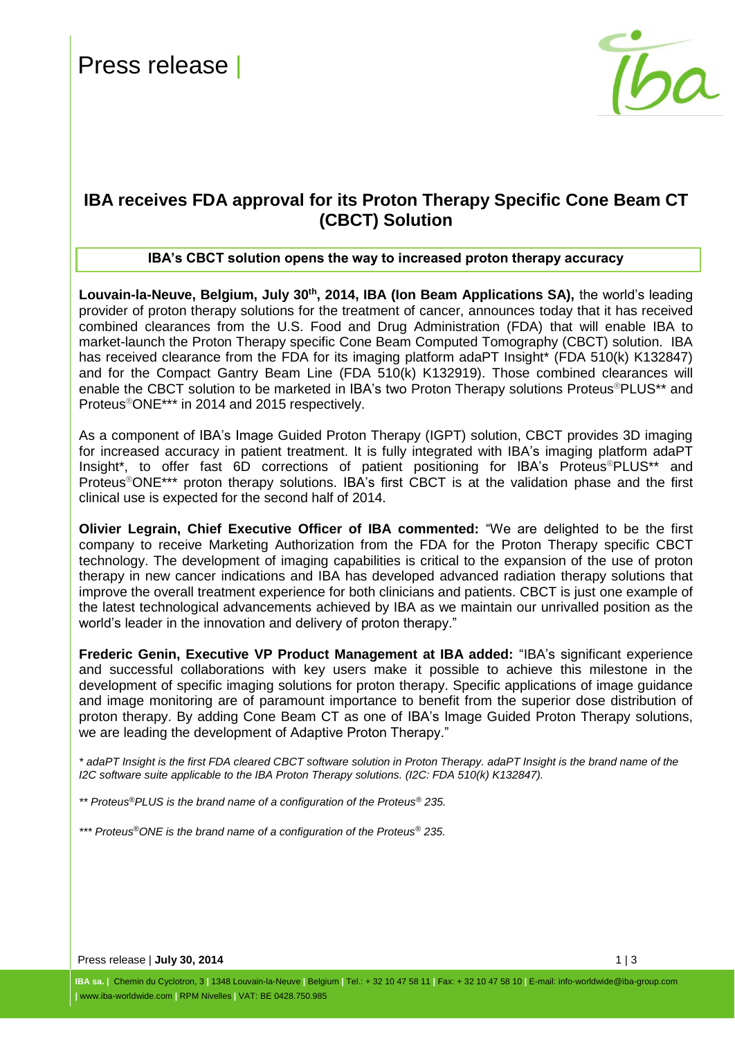

### **IBA receives FDA approval for its Proton Therapy Specific Cone Beam CT (CBCT) Solution**

#### **IBA's CBCT solution opens the way to increased proton therapy accuracy**

**Louvain-la-Neuve, Belgium, July 30th, 2014, IBA (Ion Beam Applications SA),** the world's leading provider of proton therapy solutions for the treatment of cancer, announces today that it has received combined clearances from the U.S. Food and Drug Administration (FDA) that will enable IBA to market-launch the Proton Therapy specific Cone Beam Computed Tomography (CBCT) solution. IBA has received clearance from the FDA for its imaging platform adaPT Insight\* (FDA 510(k) K132847) and for the Compact Gantry Beam Line (FDA 510(k) K132919). Those combined clearances will enable the CBCT solution to be marketed in IBA's two Proton Therapy solutions Proteus<sup>®</sup>PLUS<sup>\*\*</sup> and Proteus®ONE\*\*\* in 2014 and 2015 respectively.

As a component of IBA's Image Guided Proton Therapy (IGPT) solution, CBCT provides 3D imaging for increased accuracy in patient treatment. It is fully integrated with IBA's imaging platform adaPT Insight\*, to offer fast 6D corrections of patient positioning for IBA's Proteus®PLUS\*\* and Proteus®ONE\*\*\* proton therapy solutions. IBA's first CBCT is at the validation phase and the first clinical use is expected for the second half of 2014.

**Olivier Legrain, Chief Executive Officer of IBA commented:** "We are delighted to be the first company to receive Marketing Authorization from the FDA for the Proton Therapy specific CBCT technology. The development of imaging capabilities is critical to the expansion of the use of proton therapy in new cancer indications and IBA has developed advanced radiation therapy solutions that improve the overall treatment experience for both clinicians and patients. CBCT is just one example of the latest technological advancements achieved by IBA as we maintain our unrivalled position as the world's leader in the innovation and delivery of proton therapy."

**Frederic Genin, Executive VP Product Management at IBA added:** "IBA's significant experience and successful collaborations with key users make it possible to achieve this milestone in the development of specific imaging solutions for proton therapy. Specific applications of image guidance and image monitoring are of paramount importance to benefit from the superior dose distribution of proton therapy. By adding Cone Beam CT as one of IBA's Image Guided Proton Therapy solutions, we are leading the development of Adaptive Proton Therapy."

*\* adaPT Insight is the first FDA cleared CBCT software solution in Proton Therapy. adaPT Insight is the brand name of the I2C software suite applicable to the IBA Proton Therapy solutions. (I2C: FDA 510(k) K132847).*

*\*\* Proteus®PLUS is the brand name of a configuration of the Proteus® 235.*

*\*\*\* Proteus®ONE is the brand name of a configuration of the Proteus® 235.*

Press release | **July 30, 2014** 1 | 3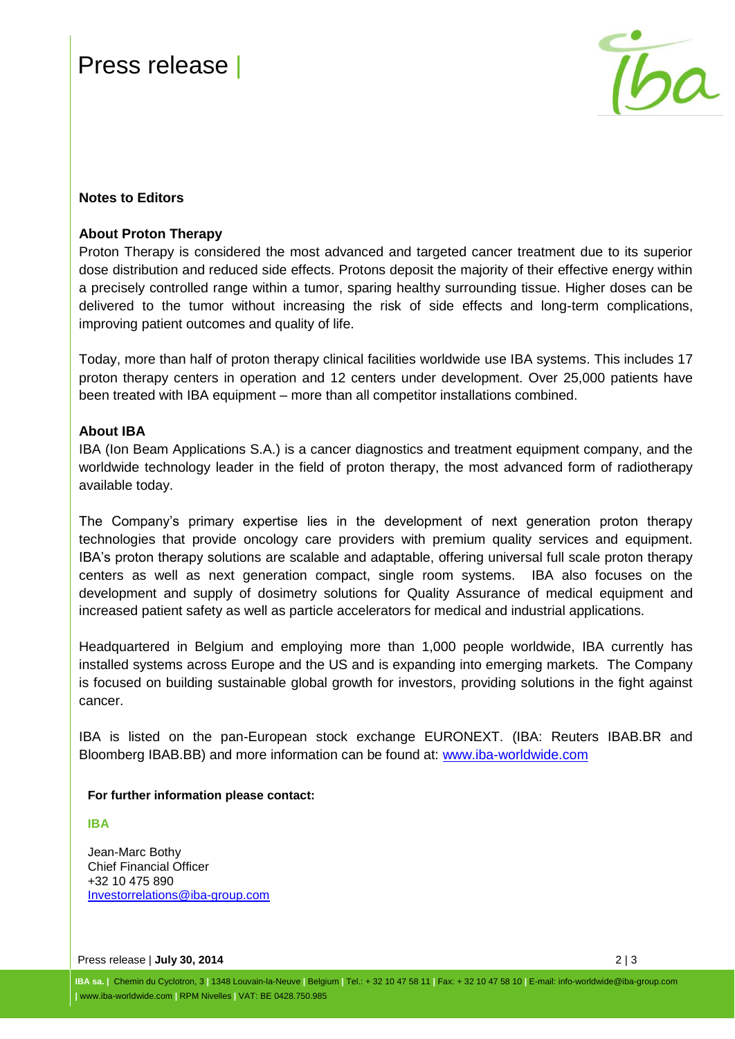# Press release



#### **Notes to Editors**

#### **About Proton Therapy**

Proton Therapy is considered the most advanced and targeted cancer treatment due to its superior dose distribution and reduced side effects. Protons deposit the majority of their effective energy within a precisely controlled range within a tumor, sparing healthy surrounding tissue. Higher doses can be delivered to the tumor without increasing the risk of side effects and long-term complications, improving patient outcomes and quality of life.

Today, more than half of proton therapy clinical facilities worldwide use IBA systems. This includes 17 proton therapy centers in operation and 12 centers under development. Over 25,000 patients have been treated with IBA equipment – more than all competitor installations combined.

#### **About IBA**

IBA (Ion Beam Applications S.A.) is a cancer diagnostics and treatment equipment company, and the worldwide technology leader in the field of proton therapy, the most advanced form of radiotherapy available today.

The Company's primary expertise lies in the development of next generation proton therapy technologies that provide oncology care providers with premium quality services and equipment. IBA's proton therapy solutions are scalable and adaptable, offering universal full scale proton therapy centers as well as next generation compact, single room systems. IBA also focuses on the development and supply of dosimetry solutions for Quality Assurance of medical equipment and increased patient safety as well as particle accelerators for medical and industrial applications.

Headquartered in Belgium and employing more than 1,000 people worldwide, IBA currently has installed systems across Europe and the US and is expanding into emerging markets. The Company is focused on building sustainable global growth for investors, providing solutions in the fight against cancer.

IBA is listed on the pan-European stock exchange EURONEXT. (IBA: Reuters IBAB.BR and Bloomberg IBAB.BB) and more information can be found at: [www.iba-worldwide.com](http://www.iba-worldwide.com/)

#### **For further information please contact:**

**IBA**

Jean-Marc Bothy Chief Financial Officer +32 10 475 890 [Investorrelations@iba-group.com](mailto:Investorrelations@iba-group.com)

Press release | **July 30, 2014** 2 | 3